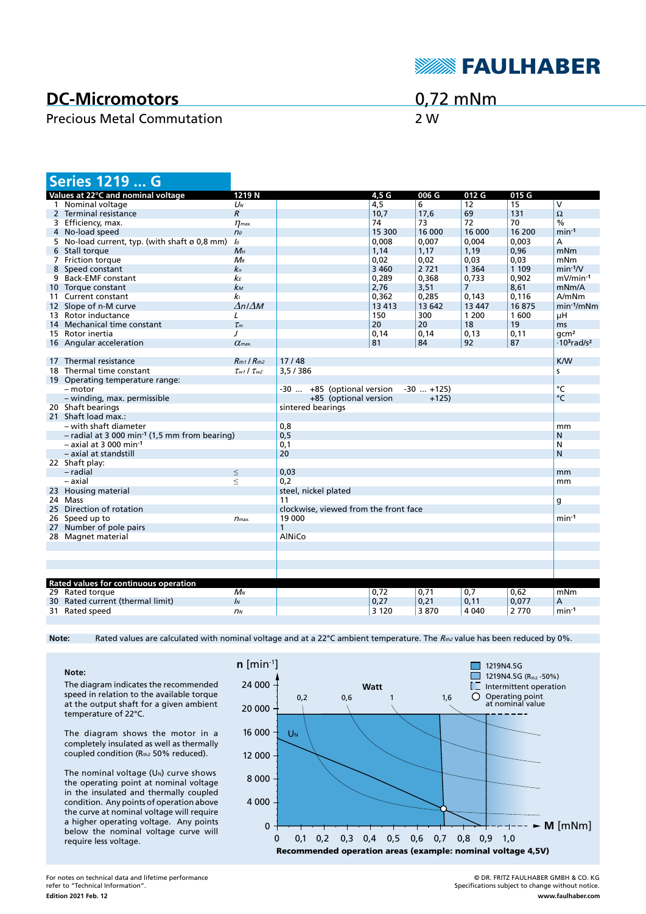

# **DC-Micromotors**

#### Precious Metal Commutation 2 W

# 0,72 mNm

|    | <b>Series 1219  G</b>                                       |                           |                                       |         |              |                |         |                                            |
|----|-------------------------------------------------------------|---------------------------|---------------------------------------|---------|--------------|----------------|---------|--------------------------------------------|
|    | Values at 22°C and nominal voltage                          | 1219N                     |                                       | 4,5 G   | 006 G        | 012 G          | 015 G   |                                            |
|    | 1 Nominal voltage                                           | $U_N$                     |                                       | 4,5     | 6            | 12             | 15      | $\overline{\mathsf{v}}$                    |
|    | 2 Terminal resistance                                       | $\overline{R}$            |                                       | 10,7    | 17,6         | 69             | 131     | $\Omega$                                   |
|    | 3 Efficiency, max.                                          | $\eta$ <sub>max</sub>     |                                       | 74      | 73           | 72             | 70      | $\frac{0}{0}$                              |
|    | 4 No-load speed                                             | n <sub>o</sub>            |                                       | 15 300  | 16 000       | 16 000         | 16 200  | $min-1$                                    |
|    | 5 No-load current, typ. (with shaft ø 0,8 mm)               | lo                        |                                       | 0,008   | 0,007        | 0,004          | 0,003   | A                                          |
|    | 6 Stall torque                                              | $M_H$                     |                                       | 1,14    | 1,17         | 1,19           | 0,96    | mNm                                        |
|    | 7 Friction torque                                           | $M_{R}$                   |                                       | 0,02    | 0,02         | 0,03           | 0,03    | mNm                                        |
|    | 8 Speed constant                                            | $k_n$                     |                                       | 3 4 6 0 | 2721         | 1 3 6 4        | 1 1 0 9 | $min-1/V$                                  |
|    | 9 Back-EMF constant                                         | kЕ                        |                                       | 0,289   | 0,368        | 0,733          | 0,902   | $mV/min-1$                                 |
|    | 10 Torque constant                                          | $k_{M}$                   |                                       | 2,76    | 3,51         | $\overline{7}$ | 8,61    | mNm/A                                      |
|    | 11 Current constant                                         | k <sub>l</sub>            |                                       | 0.362   | 0.285        | 0.143          | 0.116   | A/mNm                                      |
|    | 12 Slope of n-M curve                                       | $\Delta n / \Delta M$     |                                       | 13 4 13 | 13 642       | 13 447         | 16875   | $min-1/mNm$                                |
|    | 13 Rotor inductance                                         | L                         |                                       | 150     | 300          | 1 200          | 1600    | μH                                         |
| 14 | Mechanical time constant                                    | $\tau_m$                  |                                       | 20      | 20           | 18             | 19      | ms                                         |
|    | 15 Rotor inertia                                            | J                         |                                       | 0.14    | 0,14         | 0.13           | 0,11    | qcm <sup>2</sup>                           |
|    | 16 Angular acceleration                                     | $\alpha$ <sub>max</sub> . |                                       | 81      | 84           | 92             | 87      | $\cdot$ 10 <sup>3</sup> rad/s <sup>2</sup> |
|    |                                                             |                           |                                       |         |              |                |         |                                            |
|    | 17 Thermal resistance                                       | $R_{th1}$ / $R_{th2}$     | 17/48                                 |         |              |                |         | <b>K/W</b>                                 |
|    | 18 Thermal time constant                                    | $\tau_{w1}$ / $\tau_{w2}$ | 3,5/386                               |         |              |                |         | s                                          |
|    | 19 Operating temperature range:                             |                           |                                       |         |              |                |         |                                            |
|    | - motor                                                     |                           | -30  +85 (optional version            |         | $-30$ $+125$ |                |         | °C                                         |
|    | - winding, max. permissible                                 |                           | +85 (optional version                 |         | $+125$       |                |         | $\circ$ C                                  |
|    | 20 Shaft bearings                                           |                           | sintered bearings                     |         |              |                |         |                                            |
|    | 21 Shaft load max.:                                         |                           |                                       |         |              |                |         |                                            |
|    | – with shaft diameter                                       |                           | 0,8                                   |         |              |                |         | mm                                         |
|    | $-$ radial at 3 000 min <sup>-1</sup> (1,5 mm from bearing) |                           | 0, 5                                  |         |              |                |         | N                                          |
|    | $-$ axial at 3 000 min-1                                    |                           | 0,1                                   |         |              |                |         | N                                          |
|    | - axial at standstill                                       |                           | 20                                    |         |              |                |         | N                                          |
|    | 22 Shaft play:                                              |                           |                                       |         |              |                |         |                                            |
|    | - radial                                                    | $\leq$                    | 0,03                                  |         |              |                |         | mm                                         |
|    | – axial                                                     | $\leq$                    | 0,2                                   |         |              |                |         | mm                                         |
|    | 23 Housing material                                         |                           | steel, nickel plated                  |         |              |                |         |                                            |
|    | 24 Mass                                                     |                           | 11                                    |         |              |                |         | g                                          |
|    | 25 Direction of rotation                                    |                           | clockwise, viewed from the front face |         |              |                |         |                                            |
|    | 26 Speed up to                                              | $n_{max.}$                | 19 000                                |         |              |                |         | $min-1$                                    |
|    | 27 Number of pole pairs                                     |                           | $\mathbf{1}$                          |         |              |                |         |                                            |
|    | 28 Magnet material                                          |                           | <b>AINiCo</b>                         |         |              |                |         |                                            |
|    |                                                             |                           |                                       |         |              |                |         |                                            |
|    |                                                             |                           |                                       |         |              |                |         |                                            |
|    |                                                             |                           |                                       |         |              |                |         |                                            |
|    |                                                             |                           |                                       |         |              |                |         |                                            |
|    | Rated values for continuous operation                       |                           |                                       |         |              |                |         |                                            |
|    | 29 Rated torque                                             | $M_N$                     |                                       | 0,72    | 0,71         | 0,7            | 0.62    | mNm                                        |
|    | 30 Rated current (thermal limit)                            | $\mathbf{I}$              |                                       | 0,27    | 0,21         | 0,11           | 0,077   | А                                          |
|    | 31 Rated speed                                              | n <sub>N</sub>            |                                       | 3 1 2 0 | 3870         | 4 0 4 0        | 2770    | $min-1$                                    |

Note: Rated values are calculated with nominal voltage and at a 22°C ambient temperature. The R<sub>th2</sub> value has been reduced by 0%.

**Note:** The diagram indicates the recommended speed in relation to the available torque at the output shaft for a given ambient temperature of 22°C.

The diagram shows the motor in a completely insulated as well as thermally coupled condition (Rth2 50% reduced).

The nominal voltage  $(U<sub>N</sub>)$  curve shows the operating point at nominal voltage in the insulated and thermally coupled condition. Any points of operation above the curve at nominal voltage will require a higher operating voltage. Any points below the nominal voltage curve will require less voltage.